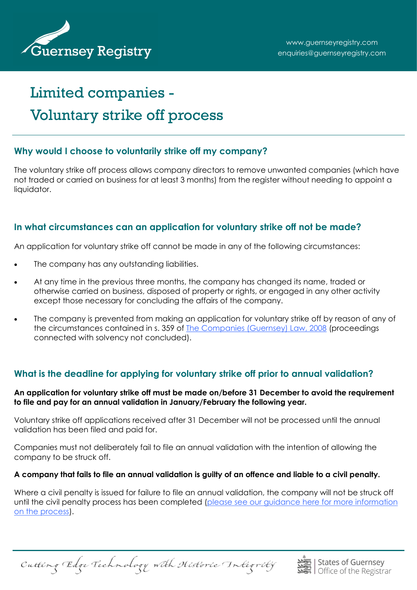

# Limited companies - Voluntary strike off process

#### **Why would I choose to voluntarily strike off my company?**

The voluntary strike off process allows company directors to remove unwanted companies (which have not traded or carried on business for at least 3 months) from the register without needing to appoint a liquidator.

## **In what circumstances can an application for voluntary strike off not be made?**

An application for voluntary strike off cannot be made in any of the following circumstances:

- The company has any outstanding liabilities.
- At any time in the previous three months, the company has changed its name, traded or otherwise carried on business, disposed of property or rights, or engaged in any other activity except those necessary for concluding the affairs of the company.
- The company is prevented from making an application for voluntary strike off by reason of any of the circumstances contained in s. 359 of [The Companies \(Guernsey\) Law, 2008](https://www.guernseylegalresources.gg/laws/guernsey-bailiwick/c/companies-and-commercial/companies-guernsey-law-2008-consolidated-text/) (proceedings connected with solvency not concluded).

# **What is the deadline for applying for voluntary strike off prior to annual validation?**

**An application for voluntary strike off must be made on/before 31 December to avoid the requirement to file and pay for an annual validation in January/February the following year.** 

Voluntary strike off applications received after 31 December will not be processed until the annual validation has been filed and paid for.

Companies must not deliberately fail to file an annual validation with the intention of allowing the company to be struck off.

#### **A company that fails to file an annual validation is guilty of an offence and liable to a civil penalty.**

Where a civil penalty is issued for failure to file an annual validation, the company will not be struck off until the civil penalty process has been completed (please see our quidance here for more information [on the process\).](http://guernseyregistry.com/CHttpHandler.ashx?id=144075&p=0)

Cutting Edge Technology with Historic Integrity

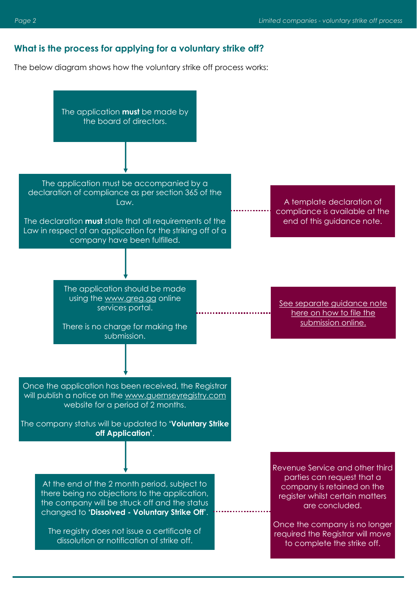#### **What is the process for applying for a voluntary strike off?**

The below diagram shows how the voluntary strike off process works:

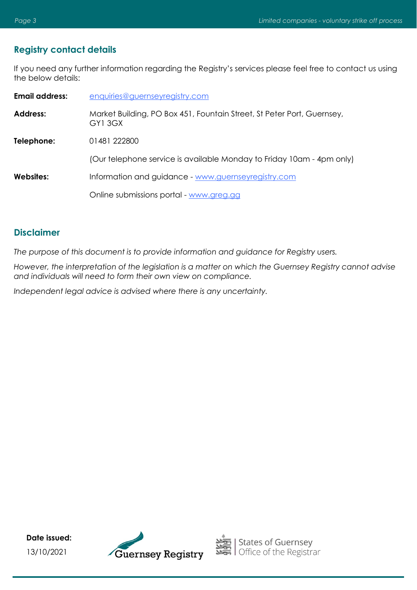#### **Registry contact details**

If you need any further information regarding the Registry's services please feel free to contact us using the below details:

| <b>Email address:</b> | enquiries@guernseyregistry.com                                                   |
|-----------------------|----------------------------------------------------------------------------------|
| <b>Address:</b>       | Market Building, PO Box 451, Fountain Street, St Peter Port, Guernsey,<br>GY13GX |
| Telephone:            | 01481 222800                                                                     |
|                       | (Our telephone service is available Monday to Friday 10am - 4pm only)            |
| Websites:             | Information and guidance - www.guernseyregistry.com                              |
|                       | Online submissions portal - www.greg.gg                                          |

#### **Disclaimer**

*The purpose of this document is to provide information and guidance for Registry users.* 

*However, the interpretation of the legislation is a matter on which the Guernsey Registry cannot advise and individuals will need to form their own view on compliance.* 

*Independent legal advice is advised where there is any uncertainty.* 

**Date issued:** 13/10/2021